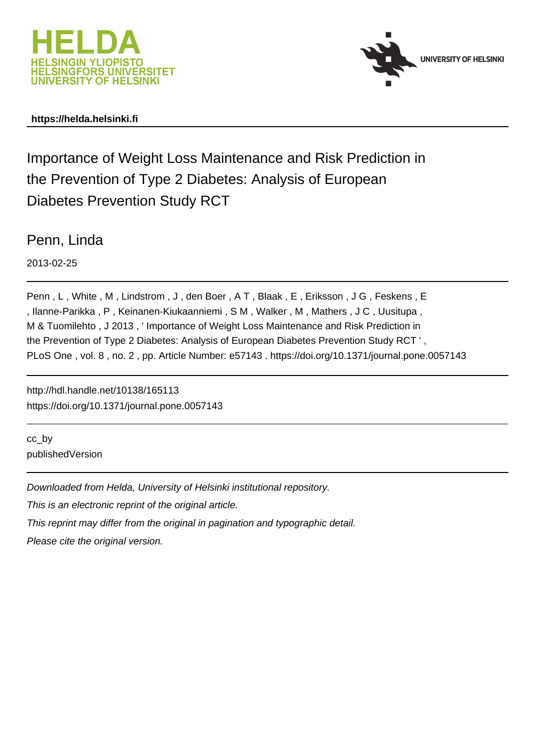



## **https://helda.helsinki.fi**

Importance of Weight Loss Maintenance and Risk Prediction in the Prevention of Type 2 Diabetes: Analysis of European Diabetes Prevention Study RCT

Penn, Linda

2013-02-25

Penn , L , White , M , Lindstrom , J , den Boer , A T , Blaak , E , Eriksson , J G , Feskens , E , Ilanne-Parikka , P , Keinanen-Kiukaanniemi , S M , Walker , M , Mathers , J C , Uusitupa , M & Tuomilehto , J 2013 , ' Importance of Weight Loss Maintenance and Risk Prediction in the Prevention of Type 2 Diabetes: Analysis of European Diabetes Prevention Study RCT ' , PLoS One , vol. 8 , no. 2 , pp. Article Number: e57143 . https://doi.org/10.1371/journal.pone.0057143

http://hdl.handle.net/10138/165113 https://doi.org/10.1371/journal.pone.0057143

cc\_by publishedVersion

Downloaded from Helda, University of Helsinki institutional repository.

This is an electronic reprint of the original article.

This reprint may differ from the original in pagination and typographic detail.

Please cite the original version.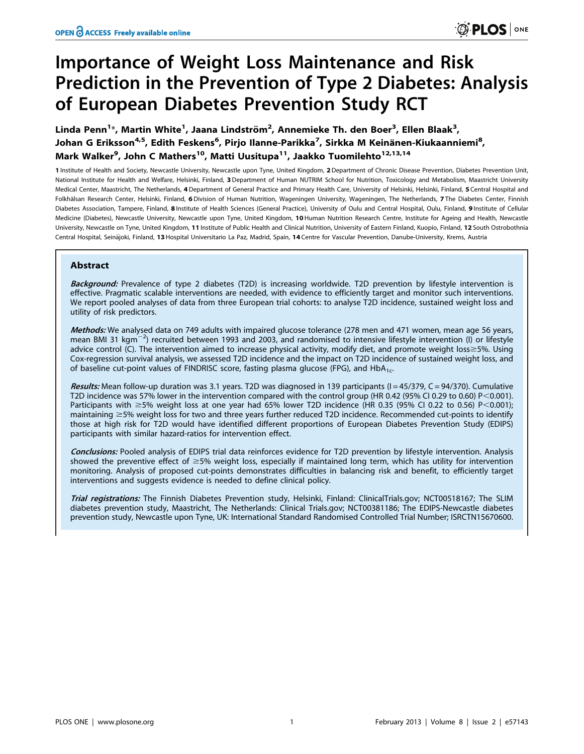# Importance of Weight Loss Maintenance and Risk Prediction in the Prevention of Type 2 Diabetes: Analysis of European Diabetes Prevention Study RCT

Linda Penn<sup>1</sup>\*, Martin White<sup>1</sup>, Jaana Lindström<sup>2</sup>, Annemieke Th. den Boer<sup>3</sup>, Ellen Blaak<sup>3</sup>, Johan G Eriksson<sup>4,5</sup>, Edith Feskens<sup>6</sup>, Pirjo Ilanne-Parikka<sup>7</sup>, Sirkka M Keinänen-Kiukaanniemi<sup>8</sup>, Mark Walker<sup>9</sup>, John C Mathers<sup>10</sup>, Matti Uusitupa<sup>11</sup>, Jaakko Tuomilehto<sup>12,13,14</sup>

1 Institute of Health and Society, Newcastle University, Newcastle upon Tyne, United Kingdom, 2Department of Chronic Disease Prevention, Diabetes Prevention Unit, National Institute for Health and Welfare, Helsinki, Finland, 3 Department of Human NUTRIM School for Nutrition, Toxicology and Metabolism, Maastricht University Medical Center, Maastricht, The Netherlands, 4 Department of General Practice and Primary Health Care, University of Helsinki, Helsinki, Finland, 5 Central Hospital and Folkhälsan Research Center, Helsinki, Finland, 6 Division of Human Nutrition, Wageningen University, Wageningen, The Netherlands, 7 The Diabetes Center, Finnish Diabetes Association, Tampere, Finland, 8 Institute of Health Sciences (General Practice), University of Oulu and Central Hospital, Oulu, Finland, 9 Institute of Cellular Medicine (Diabetes), Newcastle University, Newcastle upon Tyne, United Kingdom, 10 Human Nutrition Research Centre, Institute for Ageing and Health, Newcastle University, Newcastle on Tyne, United Kingdom, 11 Institute of Public Health and Clinical Nutrition, University of Eastern Finland, Kuopio, Finland, 12 South Ostrobothnia Central Hospital, Seinäjoki, Finland, 13 Hospital Universitario La Paz, Madrid, Spain, 14 Centre for Vascular Prevention, Danube-University, Krems, Austria

## Abstract

Background: Prevalence of type 2 diabetes (T2D) is increasing worldwide. T2D prevention by lifestyle intervention is effective. Pragmatic scalable interventions are needed, with evidence to efficiently target and monitor such interventions. We report pooled analyses of data from three European trial cohorts: to analyse T2D incidence, sustained weight loss and utility of risk predictors.

Methods: We analysed data on 749 adults with impaired glucose tolerance (278 men and 471 women, mean age 56 years, mean BMI 31 kgm<sup>-2</sup>) recruited between 1993 and 2003, and randomised to intensive lifestyle intervention (I) or lifestyle advice control (C). The intervention aimed to increase physical activity, modify diet, and promote weight loss $\geq$ 5%. Using Cox-regression survival analysis, we assessed T2D incidence and the impact on T2D incidence of sustained weight loss, and of baseline cut-point values of FINDRISC score, fasting plasma glucose (FPG), and HbA<sub>1c</sub>.

Results: Mean follow-up duration was 3.1 years. T2D was diagnosed in 139 participants ( $I = 45/379$ ,  $C = 94/370$ ). Cumulative T2D incidence was 57% lower in the intervention compared with the control group (HR 0.42 (95% CI 0.29 to 0.60) P<0.001). Participants with  $\geq$ 5% weight loss at one year had 65% lower T2D incidence (HR 0.35 (95% CI 0.22 to 0.56) P<0.001); maintaining  $\geq$  5% weight loss for two and three years further reduced T2D incidence. Recommended cut-points to identify those at high risk for T2D would have identified different proportions of European Diabetes Prevention Study (EDIPS) participants with similar hazard-ratios for intervention effect.

Conclusions: Pooled analysis of EDIPS trial data reinforces evidence for T2D prevention by lifestyle intervention. Analysis showed the preventive effect of  $\geq$ 5% weight loss, especially if maintained long term, which has utility for intervention monitoring. Analysis of proposed cut-points demonstrates difficulties in balancing risk and benefit, to efficiently target interventions and suggests evidence is needed to define clinical policy.

Trial registrations: The Finnish Diabetes Prevention study, Helsinki, Finland: ClinicalTrials.gov; NCT00518167; The SLIM diabetes prevention study, Maastricht, The Netherlands: Clinical Trials.gov; NCT00381186; The EDIPS-Newcastle diabetes prevention study, Newcastle upon Tyne, UK: International Standard Randomised Controlled Trial Number; ISRCTN15670600.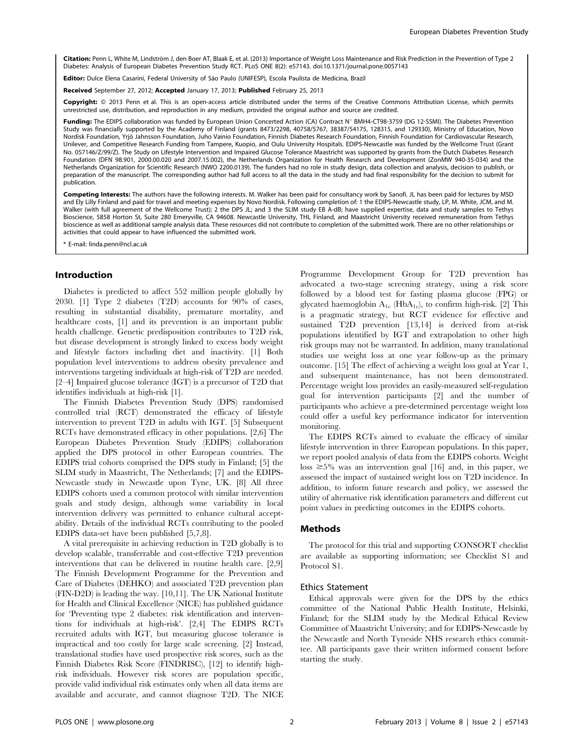Citation: Penn L, White M, Lindström J, den Boer AT, Blaak E, et al. (2013) Importance of Weight Loss Maintenance and Risk Prediction in the Prevention of Type 2 Diabetes: Analysis of European Diabetes Prevention Study RCT. PLoS ONE 8(2): e57143. doi:10.1371/journal.pone.0057143

Editor: Dulce Elena Casarini, Federal University of São Paulo (UNIFESP), Escola Paulista de Medicina, Brazil

Received September 27, 2012; Accepted January 17, 2013; Published February 25, 2013

Copyright: © 2013 Penn et al. This is an open-access article distributed under the terms of the Creative Commons Attribution License, which permits restricted use, distribution, and reproduction in any medium, provided the original author and source are credited.

Funding: The EDIPS collaboration was funded by European Union Concerted Action (CA) Contract N° BMH4-CT98-3759 (DG 12-SSMI). The Diabetes Prevention Study was financially supported by the Academy of Finland (grants 8473/2298, 40758/5767, 38387/54175, 128315, and 129330), Ministry of Education, Novo Nordisk Foundation, Yrjo¨ Jahnsson Foundation, Juho Vainio Foundation, Finnish Diabetes Research Foundation, Finnish Foundation for Cardiovascular Research, Unilever, and Competitive Research Funding from Tampere, Kuopio, and Oulu University Hospitals. EDIPS-Newcastle was funded by the Wellcome Trust (Grant No. 057146/Z/99/Z). The Study on Lifestyle Intervention and Impaired Glucose Tolerance Maastricht was supported by grants from the Dutch Diabetes Research Foundation (DFN 98.901, 2000.00.020 and 2007.15.002), the Netherlands Organization for Health Research and Development (ZonMW 940-35-034) and the Netherlands Organization for Scientific Research (NWO 2200.0139). The funders had no role in study design, data collection and analysis, decision to publish, or preparation of the manuscript. The corresponding author had full access to all the data in the study and had final responsibility for the decision to submit for publication.

Competing Interests: The authors have the following interests. M. Walker has been paid for consultancy work by Sanofi. JL has been paid for lectures by MSD and Ely Lilly Finland and paid for travel and meeting expenses by Novo Nordisk. Following completion of: 1 the EDIPS-Newcastle study, LP, M. White, JCM, and M.<br>Walker (with full agreement of the Wellcome Trust); 2 the DPS Bioscience, 5858 Horton St, Suite 280 Emeryville, CA 94608. Newcastle University, THL Finland, and Maastricht University received remuneration from Tethys bioscience as well as additional sample analysis data. These resources did not contribute to completion of the submitted work. There are no other relationships or activities that could appear to have influenced the submitted work.

\* E-mail: linda.penn@ncl.ac.uk

#### Introduction

Diabetes is predicted to affect 552 million people globally by 2030. [1] Type 2 diabetes (T2D) accounts for 90% of cases, resulting in substantial disability, premature mortality, and healthcare costs, [1] and its prevention is an important public health challenge. Genetic predisposition contributes to T2D risk, but disease development is strongly linked to excess body weight and lifestyle factors including diet and inactivity. [1] Both population level interventions to address obesity prevalence and interventions targeting individuals at high-risk of T2D are needed. [2–4] Impaired glucose tolerance (IGT) is a precursor of T2D that identifies individuals at high-risk [1].

The Finnish Diabetes Prevention Study (DPS) randomised controlled trial (RCT) demonstrated the efficacy of lifestyle intervention to prevent T2D in adults with IGT. [5] Subsequent RCTs have demonstrated efficacy in other populations. [2,6] The European Diabetes Prevention Study (EDIPS) collaboration applied the DPS protocol in other European countries. The EDIPS trial cohorts comprised the DPS study in Finland; [5] the SLIM study in Maastricht, The Netherlands; [7] and the EDIPS-Newcastle study in Newcastle upon Tyne, UK. [8] All three EDIPS cohorts used a common protocol with similar intervention goals and study design, although some variability in local intervention delivery was permitted to enhance cultural acceptability. Details of the individual RCTs contributing to the pooled EDIPS data-set have been published [5,7,8].

A vital prerequisite in achieving reduction in T2D globally is to develop scalable, transferrable and cost-effective T2D prevention interventions that can be delivered in routine health care. [2,9] The Finnish Development Programme for the Prevention and Care of Diabetes (DEHKO) and associated T2D prevention plan (FIN-D2D) is leading the way. [10,11]. The UK National Institute for Health and Clinical Excellence (NICE) has published guidance for 'Preventing type 2 diabetes: risk identification and interventions for individuals at high-risk'. [2,4] The EDIPS RCTs recruited adults with IGT, but measuring glucose tolerance is impractical and too costly for large scale screening. [2] Instead, translational studies have used prospective risk scores, such as the Finnish Diabetes Risk Score (FINDRISC), [12] to identify highrisk individuals. However risk scores are population specific, provide valid individual risk estimates only when all data items are available and accurate, and cannot diagnose T2D. The NICE Programme Development Group for T2D prevention has advocated a two-stage screening strategy, using a risk score followed by a blood test for fasting plasma glucose (FPG) or glycated haemoglobin  $A_{1c}$  (Hb $A_{1c}$ ), to confirm high-risk. [2] This is a pragmatic strategy, but RCT evidence for effective and sustained T2D prevention [13,14] is derived from at-risk populations identified by IGT and extrapolation to other high risk groups may not be warranted. In addition, many translational studies use weight loss at one year follow-up as the primary outcome. [15] The effect of achieving a weight loss goal at Year 1, and subsequent maintenance, has not been demonstrated. Percentage weight loss provides an easily-measured self-regulation goal for intervention participants [2] and the number of participants who achieve a pre-determined percentage weight loss could offer a useful key performance indicator for intervention monitoring.

The EDIPS RCTs aimed to evaluate the efficacy of similar lifestyle intervention in three European populations. In this paper, we report pooled analysis of data from the EDIPS cohorts. Weight loss  $\geq 5\%$  was an intervention goal [16] and, in this paper, we assessed the impact of sustained weight loss on T2D incidence. In addition, to inform future research and policy, we assessed the utility of alternative risk identification parameters and different cut point values in predicting outcomes in the EDIPS cohorts.

## Methods

The protocol for this trial and supporting CONSORT checklist are available as supporting information; see Checklist S1 and Protocol S1.

#### Ethics Statement

Ethical approvals were given for the DPS by the ethics committee of the National Public Health Institute, Helsinki, Finland; for the SLIM study by the Medical Ethical Review Committee of Maastricht University; and for EDIPS-Newcastle by the Newcastle and North Tyneside NHS research ethics committee. All participants gave their written informed consent before starting the study.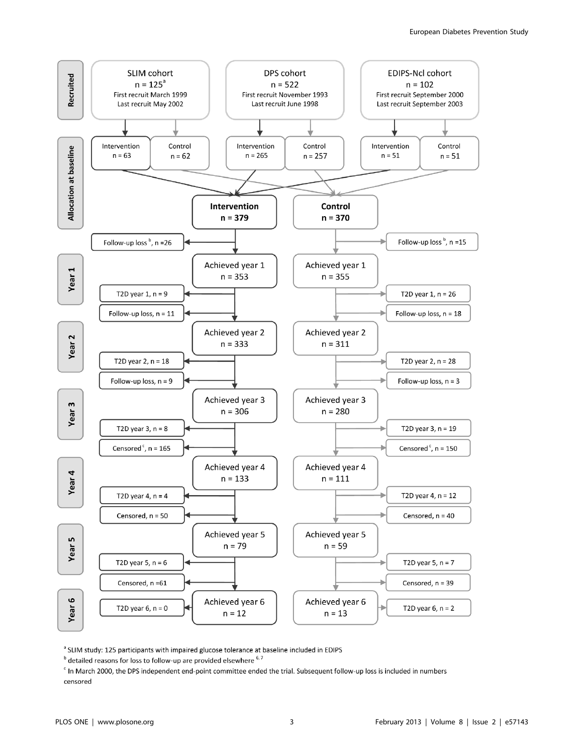

<sup>a</sup> SLIM study: 125 participants with impaired glucose tolerance at baseline included in EDIPS

<sup>c</sup> In March 2000, the DPS independent end-point committee ended the trial. Subsequent follow-up loss is included in numbers censored

<sup>&</sup>lt;sup>b</sup> detailed reasons for loss to follow-up are provided elsewhere <sup>6, 7</sup>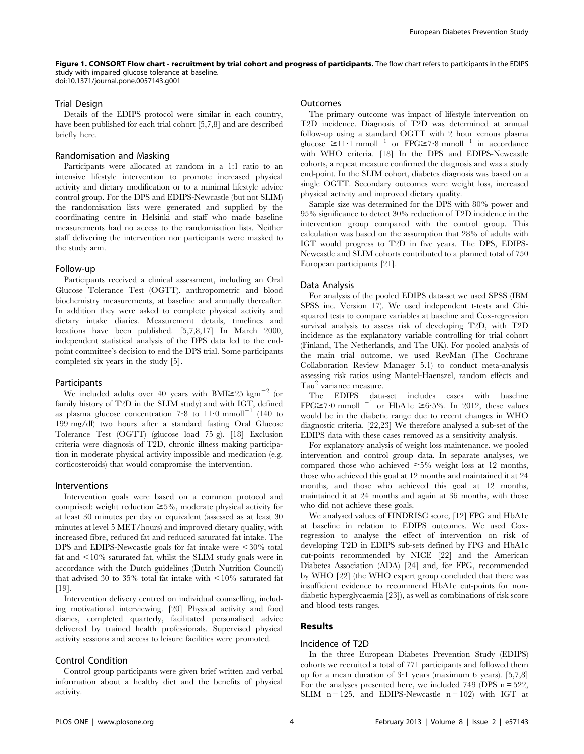Figure 1. CONSORT Flow chart - recruitment by trial cohort and progress of participants. The flow chart refers to participants in the EDIPS study with impaired glucose tolerance at baseline.

doi:10.1371/journal.pone.0057143.g001

#### Trial Design

Details of the EDIPS protocol were similar in each country, have been published for each trial cohort [5,7,8] and are described briefly here.

## Randomisation and Masking

Participants were allocated at random in a 1:1 ratio to an intensive lifestyle intervention to promote increased physical activity and dietary modification or to a minimal lifestyle advice control group. For the DPS and EDIPS-Newcastle (but not SLIM) the randomisation lists were generated and supplied by the coordinating centre in Helsinki and staff who made baseline measurements had no access to the randomisation lists. Neither staff delivering the intervention nor participants were masked to the study arm.

## Follow-up

Participants received a clinical assessment, including an Oral Glucose Tolerance Test (OGTT), anthropometric and blood biochemistry measurements, at baseline and annually thereafter. In addition they were asked to complete physical activity and dietary intake diaries. Measurement details, timelines and locations have been published. [5,7,8,17] In March 2000, independent statistical analysis of the DPS data led to the endpoint committee's decision to end the DPS trial. Some participants completed six years in the study [5].

#### Participants

We included adults over 40 years with BMI $\geq$ 25 kgm<sup>-2</sup> (or family history of T2D in the SLIM study) and with IGT, defined as plasma glucose concentration  $7.8$  to  $11.0$  mmoll<sup>-1</sup> (140 to 199 mg/dl) two hours after a standard fasting Oral Glucose Tolerance Test (OGTT) (glucose load 75 g). [18] Exclusion criteria were diagnosis of T2D, chronic illness making participation in moderate physical activity impossible and medication (e.g. corticosteroids) that would compromise the intervention.

#### Interventions

Intervention goals were based on a common protocol and comprised: weight reduction  $\geq 5\%$ , moderate physical activity for at least 30 minutes per day or equivalent (assessed as at least 30 minutes at level 5 MET/hours) and improved dietary quality, with increased fibre, reduced fat and reduced saturated fat intake. The DPS and EDIPS-Newcastle goals for fat intake were  $\leq 30\%$  total fat and  $\leq 10\%$  saturated fat, whilst the SLIM study goals were in accordance with the Dutch guidelines (Dutch Nutrition Council) that advised 30 to 35% total fat intake with  $\leq$ 10% saturated fat [19].

Intervention delivery centred on individual counselling, including motivational interviewing. [20] Physical activity and food diaries, completed quarterly, facilitated personalised advice delivered by trained health professionals. Supervised physical activity sessions and access to leisure facilities were promoted.

## Control Condition

Control group participants were given brief written and verbal information about a healthy diet and the benefits of physical activity.

## Outcomes

The primary outcome was impact of lifestyle intervention on T2D incidence. Diagnosis of T2D was determined at annual follow-up using a standard OGTT with 2 hour venous plasma glucose  $\geq 11 \cdot 1 \text{ mmol}^{-1}$  or  $\text{FPG} \geq 7 \cdot 8 \text{ mmol}^{-1}$  in accordance with WHO criteria. [18] In the DPS and EDIPS-Newcastle cohorts, a repeat measure confirmed the diagnosis and was a study end-point. In the SLIM cohort, diabetes diagnosis was based on a single OGTT. Secondary outcomes were weight loss, increased physical activity and improved dietary quality.

Sample size was determined for the DPS with 80% power and 95% significance to detect 30% reduction of T2D incidence in the intervention group compared with the control group. This calculation was based on the assumption that 28% of adults with IGT would progress to T2D in five years. The DPS, EDIPS-Newcastle and SLIM cohorts contributed to a planned total of 750 European participants [21].

#### Data Analysis

For analysis of the pooled EDIPS data-set we used SPSS (IBM SPSS inc. Version 17). We used independent t-tests and Chisquared tests to compare variables at baseline and Cox-regression survival analysis to assess risk of developing T2D, with T2D incidence as the explanatory variable controlling for trial cohort (Finland, The Netherlands, and The UK). For pooled analysis of the main trial outcome, we used RevMan (The Cochrane Collaboration Review Manager 5.1) to conduct meta-analysis assessing risk ratios using Mantel-Haenszel, random effects and Tau<sup>2</sup> variance measure.

The EDIPS data-set includes cases with baseline FPG $\geq$ 7·0 mmoll  $^{-1}$  or HbA1c  $\geq$ 6·5%. In 2012, these values would be in the diabetic range due to recent changes in WHO diagnostic criteria. [22,23] We therefore analysed a sub-set of the EDIPS data with these cases removed as a sensitivity analysis.

For explanatory analysis of weight loss maintenance, we pooled intervention and control group data. In separate analyses, we compared those who achieved  $\geq 5\%$  weight loss at 12 months, those who achieved this goal at 12 months and maintained it at 24 months, and those who achieved this goal at 12 months, maintained it at 24 months and again at 36 months, with those who did not achieve these goals.

We analysed values of FINDRISC score, [12] FPG and HbA1c at baseline in relation to EDIPS outcomes. We used Coxregression to analyse the effect of intervention on risk of developing T2D in EDIPS sub-sets defined by FPG and HbA1c cut-points recommended by NICE [22] and the American Diabetes Association (ADA) [24] and, for FPG, recommended by WHO [22] (the WHO expert group concluded that there was insufficient evidence to recommend HbA1c cut-points for nondiabetic hyperglycaemia [23]), as well as combinations of risk score and blood tests ranges.

## Results

## Incidence of T2D

In the three European Diabetes Prevention Study (EDIPS) cohorts we recruited a total of 771 participants and followed them up for a mean duration of  $3 \cdot 1$  years (maximum 6 years). [5,7,8] For the analyses presented here, we included 749 (DPS  $n = 522$ , SLIM  $n = 125$ , and EDIPS-Newcastle  $n = 102$ ) with IGT at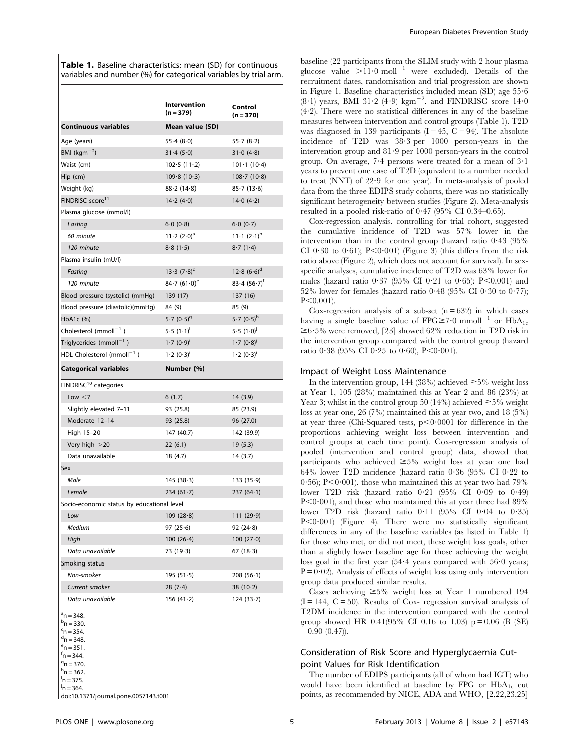Table 1. Baseline characteristics: mean (SD) for continuous variables and number (%) for categorical variables by trial arm.

|                                            | Intervention<br>(n = 379)  | Control<br>$(n = 370)$       |
|--------------------------------------------|----------------------------|------------------------------|
| <b>Continuous variables</b>                | Mean value (SD)            |                              |
| Age (years)                                | 55.4(8.0)                  | 55.7(8.2)                    |
| BMI ( $kgm^{-2}$ )                         | 31.4(5.0)                  | 31.0(4.8)                    |
| Waist (cm)                                 | 102.5(11.2)                | $101 \cdot 1 (10 \cdot 4)$   |
| Hip (cm)                                   | 109.8(10.3)                | 108.7(10.8)                  |
| Weight (kg)                                | 88.2(14.8)                 | 85-7 (13-6)                  |
| FINDRISC score <sup>11</sup>               | 14.2(4.0)                  | 14.0(4.2)                    |
| Plasma glucose (mmol/l)                    |                            |                              |
| Fasting                                    | 6.0(0.8)                   | 6.0(0.7)                     |
| 60 minute                                  | $11 \cdot 2 (2 \cdot 0)^a$ | $11 \cdot 1 (2 \cdot 1)^{b}$ |
| 120 minute                                 | 8.8(1.5)                   | 8.7(1.4)                     |
| Plasma insulin (mU/l)                      |                            |                              |
| Fasting                                    | $13.3 (7.8)^c$             | $12.8~(6.6)^d$               |
| 120 minute                                 | 84.7 $(61.0)^e$            | $83.4(56.7)^{f}$             |
| Blood pressure (systolic) (mmHg)           | 139 (17)                   | 137 (16)                     |
| Blood pressure (diastolic)(mmHg)           | 84 (9)                     | 85 (9)                       |
| HbA1c (%)                                  | $5.7 (0.5)^9$              | $5.7 (0.5)^{h}$              |
| Cholesterol (mmoll $^{-1}$ )               | 5.5(1.1)                   | 5.5(1.0)                     |
| Triglycerides (mmoll $^{-1}$ )             | 1.7 (0.9)                  | $1.7(0.8)^{J}$               |
| HDL Cholesterol (mmoll <sup>-1</sup> )     | 1.2 (0.3)                  | 1.2 (0.3)                    |
| <b>Categorical variables</b>               | Number (%)                 |                              |
| FINDRISC <sup>10</sup> categories          |                            |                              |
| Low $<$ 7                                  | 6(1.7)                     | 14 (3.9)                     |
| Slightly elevated 7-11                     | 93 (25.8)                  | 85 (23.9)                    |
| Moderate 12-14                             | 93 (25.8)                  | 96 (27.0)                    |
| High 15-20                                 | 147 (40.7)                 | 142 (39.9)                   |
| Very high $>$ 20                           | 22(6.1)                    | 19 (5.3)                     |
| Data unavailable                           | 18 (4.7)                   | 14 (3.7)                     |
| Sex                                        |                            |                              |
| Male                                       | 145(38.3)                  | 133(35.9)                    |
| Female                                     | $234(61-7)$                | 237(64.1)                    |
| Socio-economic status by educational level |                            |                              |
| Low                                        | 109(28.8)                  | 111(29.9)                    |
| Medium                                     | 97 $(25.6)$                | 92(24.8)                     |
| High                                       | 100(26.4)                  | 100(27.0)                    |
| Data unavailable                           | 73 (19-3)                  | 67(18.3)                     |
| Smoking status                             |                            |                              |
| Non-smoker                                 | 195(51.5)                  | 208(56.1)                    |
| Current smoker                             | $28(7-4)$                  | $38(10-2)$                   |
| Data unavailable                           | 156 $(41.2)$               | 124(33.7)                    |

 $a$ <sup>a</sup>n = 348.

 $f_n = 344.$  $9n = 370.$ 

 $h$ n = 362.

 $n = 375$ .

 $j_{\mathsf{n}}$  = 364.

doi:10.1371/journal.pone.0057143.t001

baseline (22 participants from the SLIM study with 2 hour plasma glucose value  $>11.0$  moll<sup>-1</sup> were excluded). Details of the recruitment dates, randomisation and trial progression are shown in Figure 1. Baseline characteristics included mean (SD) age 55?6  $(8.1)$  years, BMI 31.2 (4.9) kgm<sup>-2</sup>, and FINDRISC score 14.0  $(4.2)$ . There were no statistical differences in any of the baseline measures between intervention and control groups (Table 1). T2D was diagnosed in 139 participants  $(I = 45, C = 94)$ . The absolute incidence of T2D was 38?3 per 1000 person-years in the intervention group and 81?9 per 1000 person-years in the control group. On average,  $7.4$  persons were treated for a mean of  $3.1$ years to prevent one case of T2D (equivalent to a number needed to treat (NNT) of 22?9 for one year). In meta-analysis of pooled data from the three EDIPS study cohorts, there was no statistically significant heterogeneity between studies (Figure 2). Meta-analysis resulted in a pooled risk-ratio of  $0.47$  (95% CI 0.34–0.65).

Cox-regression analysis, controlling for trial cohort, suggested the cumulative incidence of T2D was 57% lower in the intervention than in the control group (hazard ratio  $0.43$  (95%) CI 0.30 to 0.61);  $P \le 0.001$  (Figure 3) (this differs from the risk ratio above (Figure 2), which does not account for survival). In sexspecific analyses, cumulative incidence of T2D was 63% lower for males (hazard ratio  $0.37$  (95% CI  $0.21$  to  $0.65$ ); P<0.001) and 52% lower for females (hazard ratio  $0.48$  (95% CI  $0.30$  to  $0.77$ );  $P<0.001$ ).

Cox-regression analysis of a sub-set  $(n = 632)$  in which cases having a single baseline value of  $FPG \ge 7.0$  mmoll<sup>-1</sup> or  $HbA_{1c}$  $\geq 6.5\%$  were removed, [23] showed 62% reduction in T2D risk in the intervention group compared with the control group (hazard ratio  $0.38$  (95% CI  $0.25$  to  $0.60$ ), P $< 0.001$ ).

#### Impact of Weight Loss Maintenance

In the intervention group, 144 (38%) achieved  $\geq$ 5% weight loss at Year 1, 105 (28%) maintained this at Year 2 and 86 (23%) at Year 3; whilst in the control group 50 (14%) achieved  $\geq$ 5% weight loss at year one, 26 (7%) maintained this at year two, and 18 (5%) at year three (Chi-Squared tests,  $p<0.0001$  for difference in the proportions achieving weight loss between intervention and control groups at each time point). Cox-regression analysis of pooled (intervention and control group) data, showed that participants who achieved  $\geq 5\%$  weight loss at year one had 64% lower T2D incidence (hazard ratio  $0.36$  (95% CI  $0.22$  to 0.56); P $<$ 0.001), those who maintained this at year two had 79% lower T2D risk (hazard ratio  $0.21$  (95% CI  $0.09$  to  $0.49$ )  $P<0.001$ , and those who maintained this at year three had 89% lower T2D risk (hazard ratio  $0.11$  (95% CI 0.04 to 0.35)  $P<0.001$ ) (Figure 4). There were no statistically significant differences in any of the baseline variables (as listed in Table 1) for those who met, or did not meet, these weight loss goals, other than a slightly lower baseline age for those achieving the weight loss goal in the first year (54?4 years compared with 56?0 years;  $P=0.02$ ). Analysis of effects of weight loss using only intervention group data produced similar results.

Cases achieving  $\geq 5\%$  weight loss at Year 1 numbered 194  $(I = 144, C = 50)$ . Results of Cox- regression survival analysis of T2DM incidence in the intervention compared with the control group showed HR 0.41(95% CI 0.16 to 1.03)  $p = 0.06$  (B (SE)  $-0.90$  (0.47)).

## Consideration of Risk Score and Hyperglycaemia Cutpoint Values for Risk Identification

The number of EDIPS participants (all of whom had IGT) who would have been identified at baseline by FPG or  $HbA_{1c}$  cut points, as recommended by NICE, ADA and WHO, [2,22,23,25]

 $<sup>b</sup>n = 330.$ </sup>  $c_{n} = 354$ .

 $d$ n = 348.

 $e_{n} = 351.$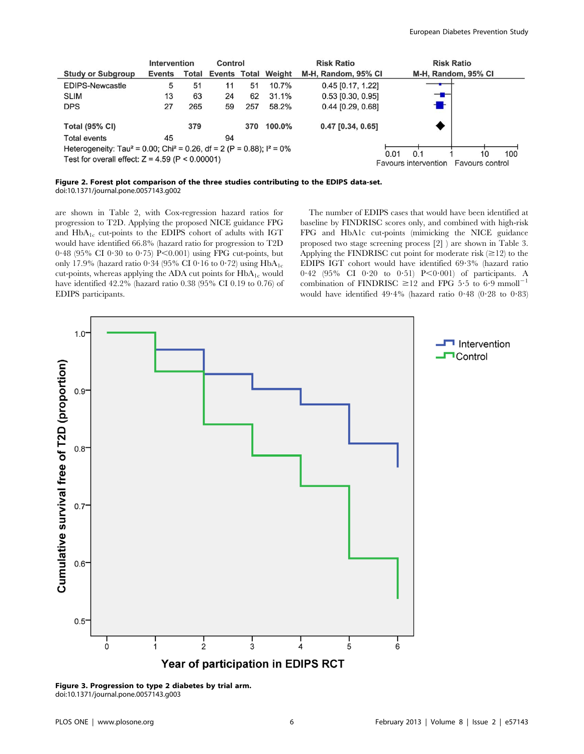|                                                                                                | Intervention |     | Control |     |                                  | <b>Risk Ratio</b>   | <b>Risk Ratio</b>    |                 |
|------------------------------------------------------------------------------------------------|--------------|-----|---------|-----|----------------------------------|---------------------|----------------------|-----------------|
| <b>Study or Subgroup</b>                                                                       | Events       |     |         |     | <b>Total Events Total Weight</b> | M-H, Random, 95% CI | M-H, Random, 95% CI  |                 |
| <b>EDIPS-Newcastle</b>                                                                         | 5            | 51  | 11      | 51  | 10.7%                            | $0.45$ [0.17, 1.22] |                      |                 |
| <b>SLIM</b>                                                                                    | 13           | 63  | 24      | 62  | 31.1%                            | $0.53$ [0.30, 0.95] | ╼▆╾                  |                 |
| <b>DPS</b>                                                                                     | 27           | 265 | 59      | 257 | 58.2%                            | $0.44$ [0.29, 0.68] |                      |                 |
| <b>Total (95% CI)</b>                                                                          |              | 379 |         | 370 | 100.0%                           | $0.47$ [0.34, 0.65] |                      |                 |
| <b>Total events</b>                                                                            | 45           |     | 94      |     |                                  |                     |                      |                 |
| Heterogeneity: Tau <sup>2</sup> = 0.00; Chi <sup>2</sup> = 0.26, df = 2 (P = 0.88); $I^2$ = 0% |              |     |         |     |                                  |                     | 0.1<br>0.01          | 100<br>10       |
| Test for overall effect: $Z = 4.59$ (P < 0.00001)                                              |              |     |         |     |                                  |                     | Favours intervention | Favours control |

Figure 2. Forest plot comparison of the three studies contributing to the EDIPS data-set. doi:10.1371/journal.pone.0057143.g002

are shown in Table 2, with Cox-regression hazard ratios for progression to T2D. Applying the proposed NICE guidance FPG and HbA<sub>1c</sub> cut-points to the EDIPS cohort of adults with IGT would have identified 66.8% (hazard ratio for progression to T2D  $0.48$  (95% CI 0.30 to 0.75) P<0.001) using FPG cut-points, but only 17.9% (hazard ratio 0.34 (95% CI 0.16 to 0.72) using  $HbA_{1c}$ cut-points, whereas applying the ADA cut points for  $HbA_{1c}$  would have identified 42.2% (hazard ratio 0.38 (95% CI 0.19 to 0.76) of EDIPS participants.

The number of EDIPS cases that would have been identified at baseline by FINDRISC scores only, and combined with high-risk FPG and HbA1c cut-points (mimicking the NICE guidance proposed two stage screening process [2] ) are shown in Table 3. Applying the FINDRISC cut point for moderate risk  $(\geq 12)$  to the EDIPS IGT cohort would have identified 69?3% (hazard ratio  $0.42$  (95% CI 0.20 to 0.51) P<0.001) of participants. A combination of FINDRISC  $\geq$ 12 and FPG 5.5 to 6.9 mmoll<sup>-1</sup> would have identified  $49.4\%$  (hazard ratio  $0.48$  ( $0.28$  to  $0.83$ )



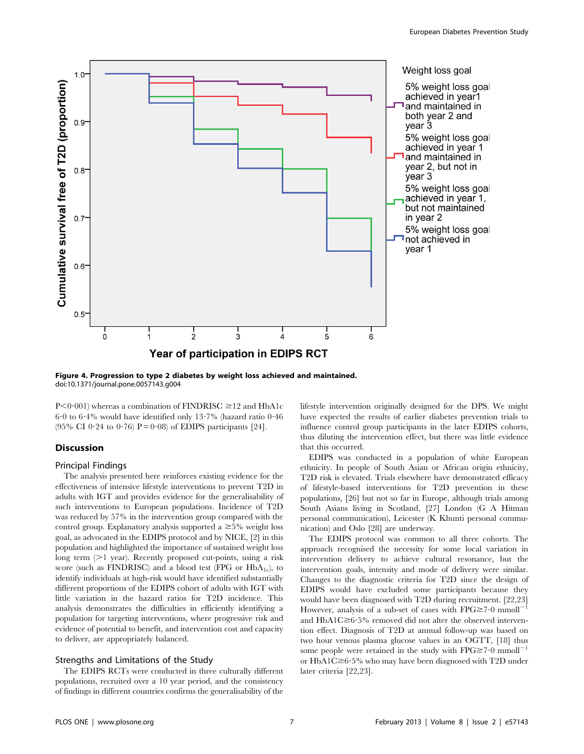

Figure 4. Progression to type 2 diabetes by weight loss achieved and maintained. doi:10.1371/journal.pone.0057143.g004

 $P<0.001$ ) whereas a combination of FINDRISC  $\geq$ 12 and HbA1c  $6.0$  to  $6.4\%$  would have identified only  $13.7\%$  (hazard ratio  $0.46$ (95% CI 0.24 to 0.76)  $P = 0.08$  of EDIPS participants [24].

## Discussion

#### Principal Findings

The analysis presented here reinforces existing evidence for the effectiveness of intensive lifestyle interventions to prevent T2D in adults with IGT and provides evidence for the generalisability of such interventions to European populations. Incidence of T2D was reduced by 57% in the intervention group compared with the control group. Explanatory analysis supported a  $\geq 5\%$  weight loss goal, as advocated in the EDIPS protocol and by NICE, [2] in this population and highlighted the importance of sustained weight loss long term  $(>1$  year). Recently proposed cut-points, using a risk score (such as FINDRISC) and a blood test (FPG or  $HbA_{1c}$ ), to identify individuals at high-risk would have identified substantially different proportions of the EDIPS cohort of adults with IGT with little variation in the hazard ratios for T2D incidence. This analysis demonstrates the difficulties in efficiently identifying a population for targeting interventions, where progressive risk and evidence of potential to benefit, and intervention cost and capacity to deliver, are appropriately balanced.

#### Strengths and Limitations of the Study

The EDIPS RCTs were conducted in three culturally different populations, recruited over a 10 year period, and the consistency of findings in different countries confirms the generalisability of the

lifestyle intervention originally designed for the DPS. We might have expected the results of earlier diabetes prevention trials to influence control group participants in the later EDIPS cohorts, thus diluting the intervention effect, but there was little evidence that this occurred.

EDIPS was conducted in a population of white European ethnicity. In people of South Asian or African origin ethnicity, T2D risk is elevated. Trials elsewhere have demonstrated efficacy of lifestyle-based interventions for T2D prevention in these populations, [26] but not so far in Europe, although trials among South Asians living in Scotland, [27] London (G A Hitman personal communication), Leicester (K Khunti personal communication) and Oslo [28] are underway.

The EDIPS protocol was common to all three cohorts. The approach recognised the necessity for some local variation in intervention delivery to achieve cultural resonance, but the intervention goals, intensity and mode of delivery were similar. Changes to the diagnostic criteria for T2D since the design of EDIPS would have excluded some participants because they would have been diagnosed with T2D during recruitment. [22,23] However, analysis of a sub-set of cases with  $FPG \ge 7.0$  mmoll<sup>-</sup> and  $HbA1C \geq 6.5\%$  removed did not alter the observed intervention effect. Diagnosis of T2D at annual follow-up was based on two hour venous plasma glucose values in an OGTT, [18] thus some people were retained in the study with  $FPG \geq 7.0$  mmoll<sup>-1</sup> or  $HbA1C \geq 6.5\%$  who may have been diagnosed with T2D under later criteria [22,23].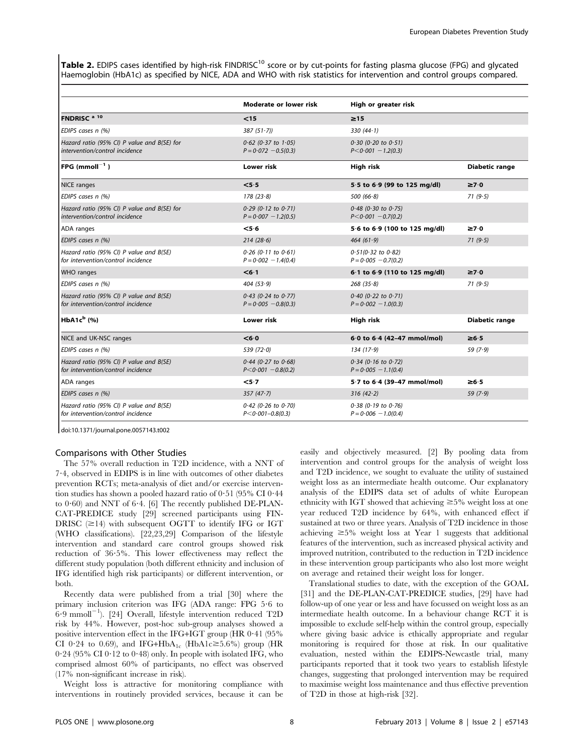Table 2. EDIPS cases identified by high-risk FINDRISC<sup>10</sup> score or by cut-points for fasting plasma glucose (FPG) and glycated Haemoglobin (HbA1c) as specified by NICE, ADA and WHO with risk statistics for intervention and control groups compared.

|                                                                               | Moderate or lower risk                             | High or greater risk                               |                       |
|-------------------------------------------------------------------------------|----------------------------------------------------|----------------------------------------------------|-----------------------|
| FNDRISC <sup>a 10</sup>                                                       | $15$                                               | $\geq$ 15                                          |                       |
| EDIPS cases n (%)                                                             | $387(51-7)$                                        | 330 $(44.1)$                                       |                       |
| Hazard ratio (95% CI) P value and B(SE) for<br>intervention/control incidence | $0.62$ (0.37 to 1.05)<br>$P = 0.072 - 0.5(0.3)$    | $0.30$ (0.20 to $0.51$ )<br>$P < 0.001 - 1.2(0.3)$ |                       |
| FPG (mmoll $^{-1}$ )                                                          | Lower risk                                         | <b>High risk</b>                                   | <b>Diabetic range</b> |
| <b>NICE</b> ranges                                                            | < 5.5                                              | 5.5 to 6.9 (99 to 125 mg/dl)                       | $\geq 7.0$            |
| EDIPS cases n (%)                                                             | 178(23.8)                                          | 500(66.8)                                          | 71(9.5)               |
| Hazard ratio (95% CI) P value and B(SE) for<br>intervention/control incidence | $0.29$ (0.12 to $0.71$ )<br>$P = 0.007 - 1.2(0.5)$ | $0.48$ (0.30 to 0.75)<br>$P < 0.001 - 0.7(0.2)$    |                       |
| ADA ranges                                                                    | $<$ 5 $\cdot$ 6                                    | 5.6 to 6.9 (100 to 125 mg/dl)                      | $\geq 7.0$            |
| EDIPS cases n (%)                                                             | 214(28.6)                                          | 464(61.9)                                          | 71(9.5)               |
| Hazard ratio (95% CI) P value and B(SE)<br>for intervention/control incidence | $0.26$ (0.11 to $0.61$ )<br>$P = 0.002 - 1.4(0.4)$ | $0.51(0.32$ to $0.82)$<br>$P = 0.005 - 0.7(0.2)$   |                       |
| <b>WHO</b> ranges                                                             | < 6.1                                              | 6.1 to 6.9 (110 to 125 mg/dl)                      | $\geq 7.0$            |
| EDIPS cases n (%)                                                             | 404(53.9)                                          | 268(35.8)                                          | 71(9.5)               |
| Hazard ratio (95% CI) P value and B(SE)<br>for intervention/control incidence | $0.43$ (0.24 to $0.77$ )<br>$P = 0.005 - 0.8(0.3)$ | $0.40$ (0.22 to 0.71)<br>$P = 0.002 - 1.0(0.3)$    |                       |
| HbA1 $c^b$ (%)                                                                | Lower risk                                         | <b>High risk</b>                                   | <b>Diabetic range</b> |
| NICE and UK-NSC ranges                                                        | < 6.0                                              | 6.0 to 6.4 (42-47 mmol/mol)                        | $\geq 6.5$            |
| EDIPS cases n (%)                                                             | 539 $(72.0)$                                       | 134(17.9)                                          | 59(7.9)               |
| Hazard ratio (95% CI) P value and B(SE)<br>for intervention/control incidence | $0.44$ (0.27 to 0.68)<br>$P < 0.001 - 0.8(0.2)$    | $0.34$ (0.16 to 0.72)<br>$P = 0.005 - 1.1(0.4)$    |                       |
| ADA ranges                                                                    | $<$ 5 $\cdot$ 7                                    | 5.7 to 6.4 (39-47 mmol/mol)                        | ≥6∶5                  |
| EDIPS cases n (%)                                                             | 357(47.7)                                          | 316(42.2)                                          | 59(7.9)               |
| Hazard ratio (95% CI) P value and B(SE)<br>for intervention/control incidence | $0.42$ (0.26 to 0.70)<br>$P < 0.001 - 0.8(0.3)$    | $0.38$ (0.19 to 0.76)<br>$P = 0.006 - 1.0(0.4)$    |                       |

doi:10.1371/journal.pone.0057143.t002

## Comparisons with Other Studies

The 57% overall reduction in T2D incidence, with a NNT of 7?4, observed in EDIPS is in line with outcomes of other diabetes prevention RCTs; meta-analysis of diet and/or exercise intervention studies has shown a pooled hazard ratio of  $0.51$  (95% CI  $0.44$ ) to  $0.60$ ) and NNT of  $6.4$ . [6] The recently published DE-PLAN-CAT-PREDICE study [29] screened participants using FIN-DRISC  $(\geq 14)$  with subsequent OGTT to identify IFG or IGT (WHO classifications). [22,23,29] Comparison of the lifestyle intervention and standard care control groups showed risk reduction of 36?5%. This lower effectiveness may reflect the different study population (both different ethnicity and inclusion of IFG identified high risk participants) or different intervention, or both.

Recently data were published from a trial [30] where the primary inclusion criterion was IFG (ADA range: FPG 5?6 to  $6.9$  mmoll<sup>-1</sup>). [24] Overall, lifestyle intervention reduced T2D risk by 44%. However, post-hoc sub-group analyses showed a positive intervention effect in the IFG+IGT group (HR  $0.41$  (95%) CI 0.24 to 0.69), and IFG+HbA<sub>1c</sub> (HbA1c $\geq$ 5.6%) group (HR  $0.24$  (95% CI  $0.12$  to  $0.48)$  only. In people with isolated IFG, who comprised almost 60% of participants, no effect was observed (17% non-significant increase in risk).

Weight loss is attractive for monitoring compliance with interventions in routinely provided services, because it can be

easily and objectively measured. [2] By pooling data from intervention and control groups for the analysis of weight loss and T2D incidence, we sought to evaluate the utility of sustained weight loss as an intermediate health outcome. Our explanatory analysis of the EDIPS data set of adults of white European ethnicity with IGT showed that achieving  $\geq 5\%$  weight loss at one year reduced T2D incidence by 64%, with enhanced effect if sustained at two or three years. Analysis of T2D incidence in those achieving  $\geq 5\%$  weight loss at Year 1 suggests that additional features of the intervention, such as increased physical activity and improved nutrition, contributed to the reduction in T2D incidence in these intervention group participants who also lost more weight on average and retained their weight loss for longer.

Translational studies to date, with the exception of the GOAL [31] and the DE-PLAN-CAT-PREDICE studies, [29] have had follow-up of one year or less and have focussed on weight loss as an intermediate health outcome. In a behaviour change RCT it is impossible to exclude self-help within the control group, especially where giving basic advice is ethically appropriate and regular monitoring is required for those at risk. In our qualitative evaluation, nested within the EDIPS-Newcastle trial, many participants reported that it took two years to establish lifestyle changes, suggesting that prolonged intervention may be required to maximise weight loss maintenance and thus effective prevention of T2D in those at high-risk [32].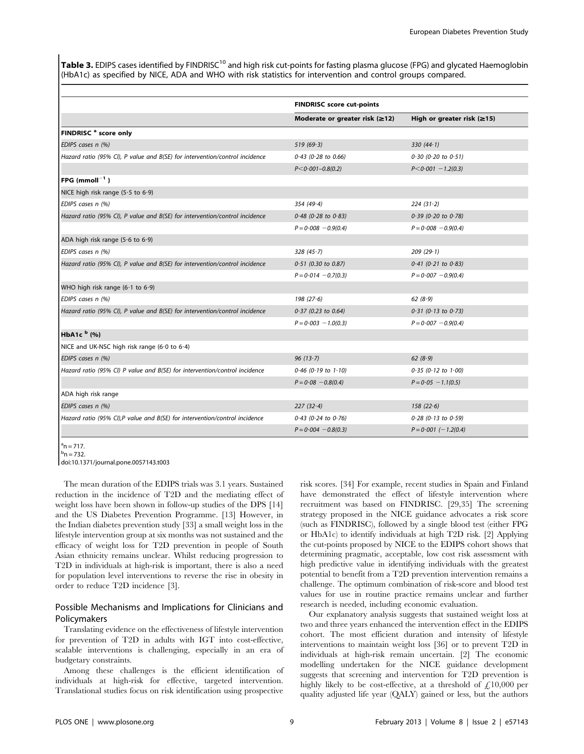Table 3. EDIPS cases identified by FINDRISC<sup>10</sup> and high risk cut-points for fasting plasma glucose (FPG) and glycated Haemoglobin (HbA1c) as specified by NICE, ADA and WHO with risk statistics for intervention and control groups compared.

|                                                                             | <b>FINDRISC score cut-points</b>     |                                  |
|-----------------------------------------------------------------------------|--------------------------------------|----------------------------------|
|                                                                             | Moderate or greater risk $(\geq 12)$ | High or greater risk $(\geq 15)$ |
| FINDRISC <sup>a</sup> score only                                            |                                      |                                  |
| EDIPS cases n (%)                                                           | 519(69.3)                            | 330 $(44.1)$                     |
| Hazard ratio (95% CI), P value and B(SE) for intervention/control incidence | $0.43$ (0.28 to 0.66)                | $0.30$ (0.20 to $0.51$ )         |
|                                                                             | $P < 0.001 - 0.8(0.2)$               | $P < 0.001 - 1.2(0.3)$           |
| $\bm{\mathsf{FPG}}$ (mmoll $^{-1}$ )                                        |                                      |                                  |
| NICE high risk range $(5.5 \text{ to } 6.9)$                                |                                      |                                  |
| EDIPS cases n (%)                                                           | 354(49.4)                            | $224(31-2)$                      |
| Hazard ratio (95% CI), P value and B(SE) for intervention/control incidence | $0.48$ (0.28 to 0.83)                | $0.39$ (0.20 to 0.78)            |
|                                                                             | $P = 0.008 - 0.9(0.4)$               | $P = 0.008 - 0.9(0.4)$           |
| ADA high risk range $(5.6 \text{ to } 6.9)$                                 |                                      |                                  |
| EDIPS cases n (%)                                                           | 328(45.7)                            | 209(29.1)                        |
| Hazard ratio (95% CI), P value and B(SE) for intervention/control incidence | $0.51$ (0.30 to 0.87)                | $0.41$ (0.21 to 0.83)            |
|                                                                             | $P = 0.014 - 0.7(0.3)$               | $P = 0.007 - 0.9(0.4)$           |
| WHO high risk range $(6.1 \text{ to } 6.9)$                                 |                                      |                                  |
| EDIPS cases n (%)                                                           | 198(27.6)                            | 62 $(8.9)$                       |
| Hazard ratio (95% CI), P value and B(SE) for intervention/control incidence | $0.37$ (0.23 to 0.64)                | $0.31$ (0.13 to 0.73)            |
|                                                                             | $P = 0.003 - 1.0(0.3)$               | $P = 0.007 - 0.9(0.4)$           |
| HbA1c <sup>b</sup> (%)                                                      |                                      |                                  |
| NICE and UK-NSC high risk range (6.0 to 6.4)                                |                                      |                                  |
| EDIPS cases n (%)                                                           | 96(13.7)                             | 62(8.9)                          |
| Hazard ratio (95% CI) P value and B(SE) for intervention/control incidence  | $0.46$ (0.19 to 1.10)                | $0.35$ (0.12 to 1.00)            |
|                                                                             | $P = 0.08 - 0.8(0.4)$                | $P = 0.05 - 1.1(0.5)$            |
| ADA high risk range                                                         |                                      |                                  |
| EDIPS cases n (%)                                                           | 227(32.4)                            | 158(22.6)                        |
| Hazard ratio (95% CI),P value and B(SE) for intervention/control incidence  | $0.43$ (0.24 to $0.76$ )             | $0.28$ (0.13 to 0.59)            |
|                                                                             | $P = 0.004 - 0.8(0.3)$               | $P = 0.001$ (-1.2(0.4)           |

 $a_n = 717$ .  $^{\rm b}$ n = 732.

doi:10.1371/journal.pone.0057143.t003

The mean duration of the EDIPS trials was 3.1 years. Sustained reduction in the incidence of T2D and the mediating effect of weight loss have been shown in follow-up studies of the DPS [14] and the US Diabetes Prevention Programme. [13] However, in the Indian diabetes prevention study [33] a small weight loss in the lifestyle intervention group at six months was not sustained and the efficacy of weight loss for T2D prevention in people of South Asian ethnicity remains unclear. Whilst reducing progression to T2D in individuals at high-risk is important, there is also a need for population level interventions to reverse the rise in obesity in order to reduce T2D incidence [3].

## Possible Mechanisms and Implications for Clinicians and Policymakers

Translating evidence on the effectiveness of lifestyle intervention for prevention of T2D in adults with IGT into cost-effective, scalable interventions is challenging, especially in an era of budgetary constraints.

Among these challenges is the efficient identification of individuals at high-risk for effective, targeted intervention. Translational studies focus on risk identification using prospective

risk scores. [34] For example, recent studies in Spain and Finland have demonstrated the effect of lifestyle intervention where recruitment was based on FINDRISC. [29,35] The screening strategy proposed in the NICE guidance advocates a risk score (such as FINDRISC), followed by a single blood test (either FPG or HbA1c) to identify individuals at high T2D risk. [2] Applying the cut-points proposed by NICE to the EDIPS cohort shows that determining pragmatic, acceptable, low cost risk assessment with high predictive value in identifying individuals with the greatest potential to benefit from a T2D prevention intervention remains a challenge. The optimum combination of risk-score and blood test values for use in routine practice remains unclear and further research is needed, including economic evaluation.

Our explanatory analysis suggests that sustained weight loss at two and three years enhanced the intervention effect in the EDIPS cohort. The most efficient duration and intensity of lifestyle interventions to maintain weight loss [36] or to prevent T2D in individuals at high-risk remain uncertain. [2] The economic modelling undertaken for the NICE guidance development suggests that screening and intervention for T2D prevention is highly likely to be cost-effective, at a threshold of  $\mathcal{L}10,000$  per quality adjusted life year (QALY) gained or less, but the authors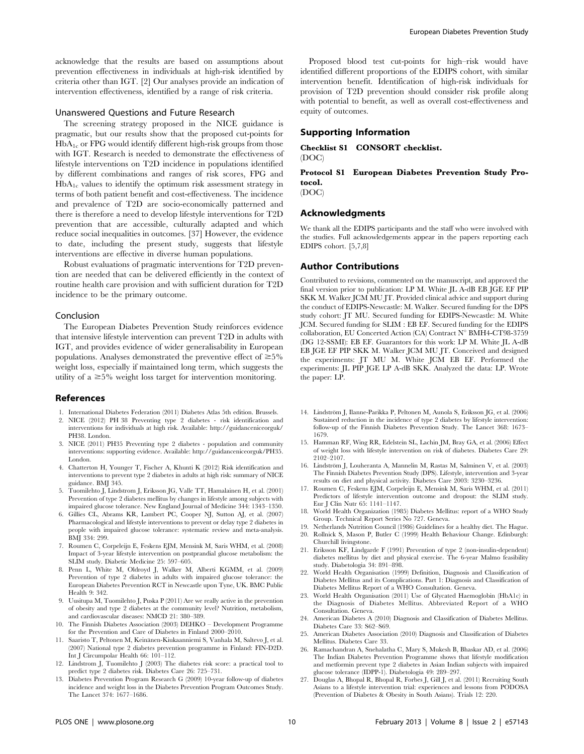acknowledge that the results are based on assumptions about prevention effectiveness in individuals at high-risk identified by criteria other than IGT. [2] Our analyses provide an indication of intervention effectiveness, identified by a range of risk criteria.

## Unanswered Questions and Future Research

The screening strategy proposed in the NICE guidance is pragmatic, but our results show that the proposed cut-points for  $HbA_{1c}$  or FPG would identify different high-risk groups from those with IGT. Research is needed to demonstrate the effectiveness of lifestyle interventions on T2D incidence in populations identified by different combinations and ranges of risk scores, FPG and  $HbA_{1c}$  values to identify the optimum risk assessment strategy in terms of both patient benefit and cost-effectiveness. The incidence and prevalence of T2D are socio-economically patterned and there is therefore a need to develop lifestyle interventions for T2D prevention that are accessible, culturally adapted and which reduce social inequalities in outcomes. [37] However, the evidence to date, including the present study, suggests that lifestyle interventions are effective in diverse human populations.

Robust evaluations of pragmatic interventions for T2D prevention are needed that can be delivered efficiently in the context of routine health care provision and with sufficient duration for T2D incidence to be the primary outcome.

#### Conclusion

The European Diabetes Prevention Study reinforces evidence that intensive lifestyle intervention can prevent T2D in adults with IGT, and provides evidence of wider generalisability in European populations. Analyses demonstrated the preventive effect of  $\geq 5\%$ weight loss, especially if maintained long term, which suggests the utility of a  $\geq 5\%$  weight loss target for intervention monitoring.

#### References

- 1. International Diabetes Federation (2011) Diabetes Atlas 5th edition. Brussels.
- 2. NICE (2012) PH 38 Preventing type 2 diabetes risk identification and interventions for individuals at high risk. Available: http://guidanceniceorguk/ PH38. London.
- 3. NICE (2011) PH35 Preventing type 2 diabetes population and community interventions: supporting evidence. Available: http://guidanceniceorguk/PH35. London.
- 4. Chatterton H, Younger T, Fischer A, Khunti K (2012) Risk identification and interventions to prevent type 2 diabetes in adults at high risk: summary of NICE guidance. BMJ 345.
- 5. Tuomilehto J, Lindstrom J, Eriksson JG, Valle TT, Hamalainen H, et al. (2001) Prevention of type 2 diabetes mellitus by changes in lifestyle among subjects with impaired glucose tolerance. New England Journal of Medicine 344: 1343–1350.
- 6. Gillies CL, Abrams KR, Lambert PC, Cooper NJ, Sutton AJ, et al. (2007) Pharmacological and lifestyle interventions to prevent or delay type 2 diabetes in people with impaired glucose tolerance: systematic review and meta-analysis. BMJ 334: 299.
- 7. Roumen C, Corpeleijn E, Feskens EJM, Mensink M, Saris WHM, et al. (2008) Impact of 3-year lifestyle intervention on postprandial glucose metabolism: the SLIM study. Diabetic Medicine 25: 597–605.
- 8. Penn L, White M, Oldroyd J, Walker M, Alberti KGMM, et al. (2009) Prevention of type 2 diabetes in adults with impaired glucose tolerance: the European Diabetes Prevention RCT in Newcastle upon Tyne, UK. BMC Public Health 9: 342.
- 9. Uusitupa M, Tuomilehto J, Puska P (2011) Are we really active in the prevention of obesity and type 2 diabetes at the community level? Nutrition, metabolism, and cardiovascular diseases: NMCD 21: 380–389.
- 10. The Finnish Diabetes Association (2003) DEHKO Development Programme for the Prevention and Care of Diabetes in Finland 2000–2010.
- 11. Saaristo T, Peltonen M, Keinänen-Kiukaanniemi S, Vanhala M, Saltevo J, et al. (2007) National type 2 diabetes prevention programme in Finland: FIN-D2D. Int J Circumpolar Health 66: 101–112.
- 12. Lindstrom J, Tuomilehto J (2003) The diabetes risk score: a practical tool to predict type 2 diabetes risk. Diabetes Care 26: 725–731.
- 13. Diabetes Prevention Program Research G (2009) 10-year follow-up of diabetes incidence and weight loss in the Diabetes Prevention Program Outcomes Study. The Lancet 374: 1677–1686.

Proposed blood test cut-points for high–risk would have identified different proportions of the EDIPS cohort, with similar intervention benefit. Identification of high-risk individuals for provision of T2D prevention should consider risk profile along with potential to benefit, as well as overall cost-effectiveness and equity of outcomes.

#### Supporting Information

Checklist S1 CONSORT checklist. (DOC)

## Protocol S1 European Diabetes Prevention Study Protocol.

(DOC)

## Acknowledgments

We thank all the EDIPS participants and the staff who were involved with the studies. Full acknowledgements appear in the papers reporting each EDIPS cohort. [5,7,8]

## Author Contributions

Contributed to revisions, commented on the manuscript, and approved the final version prior to publication: LP M. White JL A-dB EB JGE EF PIP SKK M. Walker JCM MU JT. Provided clinical advice and support during the conduct of EDIPS-Newcastle: M. Walker. Secured funding for the DPS study cohort: JT MU. Secured funding for EDIPS-Newcastle: M. White JCM. Secured funding for SLIM : EB EF. Secured funding for the EDIPS collaboration, EU Concerted Action (CA) Contract  $N^{\circ}$  BMH4-CT98-3759 (DG 12-SSMI): EB EF. Guarantors for this work: LP M. White JL A-dB EB JGE EF PIP SKK M. Walker JCM MU JT. Conceived and designed the experiments: JT MU M. White JCM EB EF. Performed the experiments: JL PIP JGE LP A-dB SKK. Analyzed the data: LP. Wrote the paper: LP.

- 14. Lindström J, Ilanne-Parikka P, Peltonen M, Aunola S, Eriksson JG, et al. (2006) Sustained reduction in the incidence of type 2 diabetes by lifestyle intervention: follow-up of the Finnish Diabetes Prevention Study. The Lancet 368: 1673– 1679.
- 15. Hamman RF, Wing RR, Edelstein SL, Lachin JM, Bray GA, et al. (2006) Effect of weight loss with lifestyle intervention on risk of diabetes. Diabetes Care 29: 2102–2107.
- 16. Lindström J, Louheranta A, Mannelin M, Rastas M, Salminen V, et al. (2003) The Finnish Diabetes Prevention Study (DPS). Lifestyle, intervention and 3-year results on diet and physical activity. Diabetes Care 2003: 3230–3236.
- 17. Roumen C, Feskens EJM, Corpeleijn E, Mensink M, Saris WHM, et al. (2011) Predictors of lifestyle intervention outcome and dropout: the SLIM study. Eur J Clin Nutr 65: 1141–1147.
- 18. World Health Organization (1985) Diabetes Mellitus: report of a WHO Study Group. Technical Report Series No 727. Geneva.
- 19. Netherlands Nutrition Council (1986) Guidelines for a healthy diet. The Hague.
- 20. Rollnick S, Mason P, Butler C (1999) Health Behaviour Change. Edinburgh: Churchill livingstone.
- 21. Eriksson KF, Lindgarde F (1991) Prevention of type 2 (non-insulin-dependent) diabetes mellitus by diet and physical exercise. The 6-year Malmo feasibility study. Diabetologia 34: 891–898.
- 22. World Health Organisation (1999) Definition, Diagnosis and Classification of Diabetes Mellitus and its Complications. Part 1: Diagnosis and Classification of Diabetes Mellitus Report of a WHO Consultation. Geneva.
- 23. World Health Organisation (2011) Use of Glycated Haemoglobin (HbA1c) in the Diagnosis of Diabetes Mellitus. Abbreviated Report of a WHO Consultation. Geneva.
- 24. American Diabetes A (2010) Diagnosis and Classification of Diabetes Mellitus. Diabetes Care 33: S62–S69.
- 25. American Diabetes Association (2010) Diagnosis and Classification of Diabetes Mellitus. Diabetes Care 33.
- 26. Ramachandran A, Snehalatha C, Mary S, Mukesh B, Bhaskar AD, et al. (2006) The Indian Diabetes Prevention Programme shows that lifestyle modification and metformin prevent type 2 diabetes in Asian Indian subjects with impaired glucose tolerance (IDPP-1). Diabetologia 49: 289–297.
- 27. Douglas A, Bhopal R, Bhopal R, Forbes J, Gill J, et al. (2011) Recruiting South Asians to a lifestyle intervention trial: experiences and lessons from PODOSA (Prevention of Diabetes & Obesity in South Asians). Trials 12: 220.